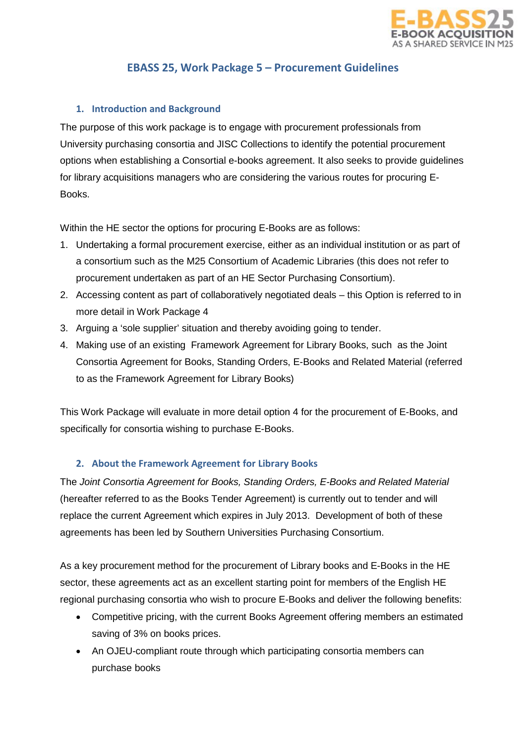

# **EBASS 25, Work Package 5 – Procurement Guidelines**

# **1. Introduction and Background**

The purpose of this work package is to engage with procurement professionals from University purchasing consortia and JISC Collections to identify the potential procurement options when establishing a Consortial e-books agreement. It also seeks to provide guidelines for library acquisitions managers who are considering the various routes for procuring E-**Books** 

Within the HE sector the options for procuring E-Books are as follows:

- 1. Undertaking a formal procurement exercise, either as an individual institution or as part of a consortium such as the M25 Consortium of Academic Libraries (this does not refer to procurement undertaken as part of an HE Sector Purchasing Consortium).
- 2. Accessing content as part of collaboratively negotiated deals this Option is referred to in more detail in Work Package 4
- 3. Arguing a 'sole supplier' situation and thereby avoiding going to tender.
- 4. Making use of an existing Framework Agreement for Library Books, such as the Joint Consortia Agreement for Books, Standing Orders, E-Books and Related Material (referred to as the Framework Agreement for Library Books)

This Work Package will evaluate in more detail option 4 for the procurement of E-Books, and specifically for consortia wishing to purchase E-Books.

## **2. About the Framework Agreement for Library Books**

The *Joint Consortia Agreement for Books, Standing Orders, E-Books and Related Material* (hereafter referred to as the Books Tender Agreement) is currently out to tender and will replace the current Agreement which expires in July 2013. Development of both of these agreements has been led by Southern Universities Purchasing Consortium.

As a key procurement method for the procurement of Library books and E-Books in the HE sector, these agreements act as an excellent starting point for members of the English HE regional purchasing consortia who wish to procure E-Books and deliver the following benefits:

- Competitive pricing, with the current Books Agreement offering members an estimated saving of 3% on books prices.
- An OJEU-compliant route through which participating consortia members can purchase books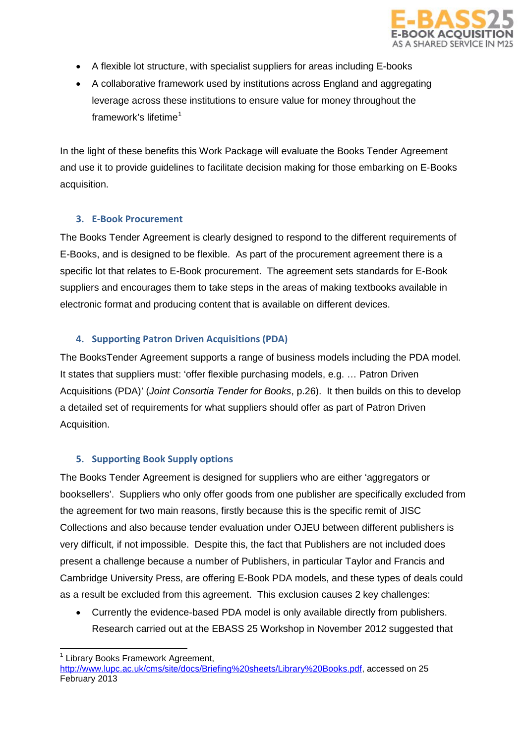

- A flexible lot structure, with specialist suppliers for areas including E-books
- A collaborative framework used by institutions across England and aggregating leverage across these institutions to ensure value for money throughout the framework's lifetime<sup>[1](#page-1-0)</sup>

In the light of these benefits this Work Package will evaluate the Books Tender Agreement and use it to provide guidelines to facilitate decision making for those embarking on E-Books acquisition.

#### **3. E-Book Procurement**

The Books Tender Agreement is clearly designed to respond to the different requirements of E-Books, and is designed to be flexible. As part of the procurement agreement there is a specific lot that relates to E-Book procurement. The agreement sets standards for E-Book suppliers and encourages them to take steps in the areas of making textbooks available in electronic format and producing content that is available on different devices.

## **4. Supporting Patron Driven Acquisitions (PDA)**

The BooksTender Agreement supports a range of business models including the PDA model. It states that suppliers must: 'offer flexible purchasing models, e.g. … Patron Driven Acquisitions (PDA)' (*Joint Consortia Tender for Books*, p.26). It then builds on this to develop a detailed set of requirements for what suppliers should offer as part of Patron Driven Acquisition.

#### **5. Supporting Book Supply options**

The Books Tender Agreement is designed for suppliers who are either 'aggregators or booksellers'. Suppliers who only offer goods from one publisher are specifically excluded from the agreement for two main reasons, firstly because this is the specific remit of JISC Collections and also because tender evaluation under OJEU between different publishers is very difficult, if not impossible. Despite this, the fact that Publishers are not included does present a challenge because a number of Publishers, in particular Taylor and Francis and Cambridge University Press, are offering E-Book PDA models, and these types of deals could as a result be excluded from this agreement. This exclusion causes 2 key challenges:

• Currently the evidence-based PDA model is only available directly from publishers. Research carried out at the EBASS 25 Workshop in November 2012 suggested that

l <sup>1</sup> Library Books Framework Agreement,

<span id="page-1-0"></span>[http://www.lupc.ac.uk/cms/site/docs/Briefing%20sheets/Library%20Books.pdf,](http://www.lupc.ac.uk/cms/site/docs/Briefing%20sheets/Library%20Books.pdf) accessed on 25 February 2013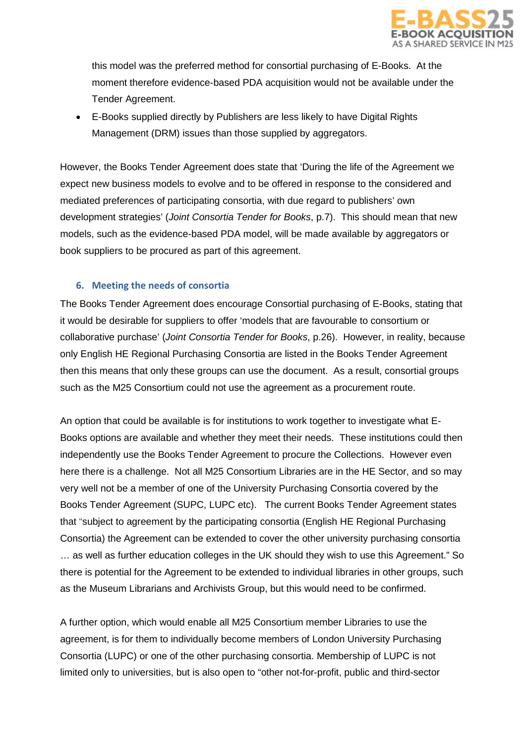

this model was the preferred method for consortial purchasing of E-Books. At the moment therefore evidence-based PDA acquisition would not be available under the Tender Agreement.

• E-Books supplied directly by Publishers are less likely to have Digital Rights Management (DRM) issues than those supplied by aggregators.

However, the Books Tender Agreement does state that 'During the life of the Agreement we expect new business models to evolve and to be offered in response to the considered and mediated preferences of participating consortia, with due regard to publishers' own development strategies' (*Joint Consortia Tender for Books*, p.7). This should mean that new models, such as the evidence-based PDA model, will be made available by aggregators or book suppliers to be procured as part of this agreement.

### **6. Meeting the needs of consortia**

The Books Tender Agreement does encourage Consortial purchasing of E-Books, stating that it would be desirable for suppliers to offer 'models that are favourable to consortium or collaborative purchase' (*Joint Consortia Tender for Books*, p.26). However, in reality, because only English HE Regional Purchasing Consortia are listed in the Books Tender Agreement then this means that only these groups can use the document. As a result, consortial groups such as the M25 Consortium could not use the agreement as a procurement route.

An option that could be available is for institutions to work together to investigate what E-Books options are available and whether they meet their needs. These institutions could then independently use the Books Tender Agreement to procure the Collections. However even here there is a challenge. Not all M25 Consortium Libraries are in the HE Sector, and so may very well not be a member of one of the University Purchasing Consortia covered by the Books Tender Agreement (SUPC, LUPC etc). The current Books Tender Agreement states that "subject to agreement by the participating consortia (English HE Regional Purchasing Consortia) the Agreement can be extended to cover the other university purchasing consortia … as well as further education colleges in the UK should they wish to use this Agreement." So there is potential for the Agreement to be extended to individual libraries in other groups, such as the Museum Librarians and Archivists Group, but this would need to be confirmed.

A further option, which would enable all M25 Consortium member Libraries to use the agreement, is for them to individually become members of London University Purchasing Consortia (LUPC) or one of the other purchasing consortia. Membership of LUPC is not limited only to universities, but is also open to "other not-for-profit, public and third-sector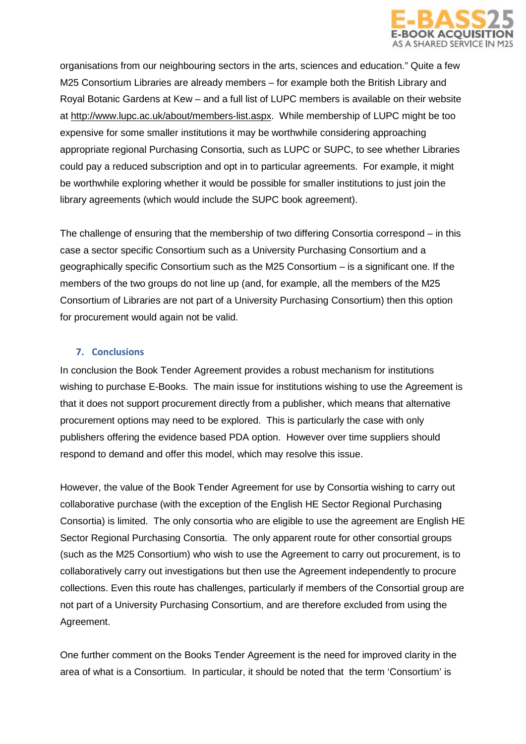

organisations from our neighbouring sectors in the arts, sciences and education." Quite a few M25 Consortium Libraries are already members – for example both the British Library and Royal Botanic Gardens at Kew – and a full list of LUPC members is available on their website at [http://www.lupc.ac.uk/about/members-list.aspx.](http://www.lupc.ac.uk/about/members-list.aspx) While membership of LUPC might be too expensive for some smaller institutions it may be worthwhile considering approaching appropriate regional Purchasing Consortia, such as LUPC or SUPC, to see whether Libraries could pay a reduced subscription and opt in to particular agreements. For example, it might be worthwhile exploring whether it would be possible for smaller institutions to just join the library agreements (which would include the SUPC book agreement).

The challenge of ensuring that the membership of two differing Consortia correspond – in this case a sector specific Consortium such as a University Purchasing Consortium and a geographically specific Consortium such as the M25 Consortium – is a significant one. If the members of the two groups do not line up (and, for example, all the members of the M25 Consortium of Libraries are not part of a University Purchasing Consortium) then this option for procurement would again not be valid.

### **7. Conclusions**

In conclusion the Book Tender Agreement provides a robust mechanism for institutions wishing to purchase E-Books. The main issue for institutions wishing to use the Agreement is that it does not support procurement directly from a publisher, which means that alternative procurement options may need to be explored. This is particularly the case with only publishers offering the evidence based PDA option. However over time suppliers should respond to demand and offer this model, which may resolve this issue.

However, the value of the Book Tender Agreement for use by Consortia wishing to carry out collaborative purchase (with the exception of the English HE Sector Regional Purchasing Consortia) is limited. The only consortia who are eligible to use the agreement are English HE Sector Regional Purchasing Consortia. The only apparent route for other consortial groups (such as the M25 Consortium) who wish to use the Agreement to carry out procurement, is to collaboratively carry out investigations but then use the Agreement independently to procure collections. Even this route has challenges, particularly if members of the Consortial group are not part of a University Purchasing Consortium, and are therefore excluded from using the Agreement.

One further comment on the Books Tender Agreement is the need for improved clarity in the area of what is a Consortium. In particular, it should be noted that the term 'Consortium' is